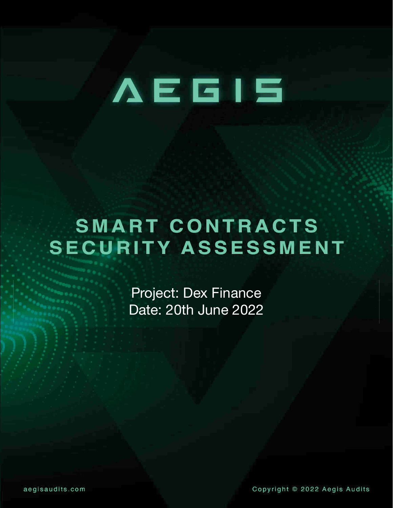# **AEGIS**

## **SMART CONTRACTS SECURITY ASSESSMENT**

Project: Dex Finance Date: 20th June 2022

Copyright © 2022 Aegis Audits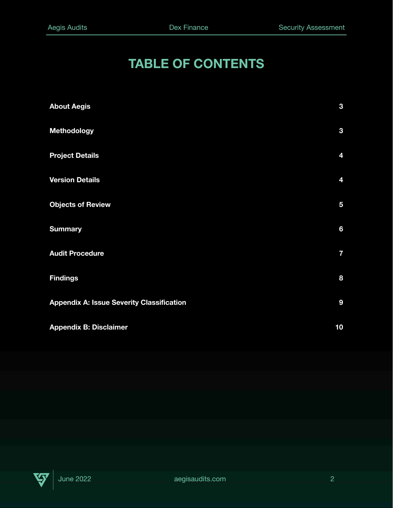#### **TABLE OF CONTENTS**

| <b>About Aegis</b>                               | $\mathbf{3}$            |
|--------------------------------------------------|-------------------------|
| <b>Methodology</b>                               | $\mathbf{3}$            |
| <b>Project Details</b>                           | 4                       |
| <b>Version Details</b>                           | 4                       |
| <b>Objects of Review</b>                         | $\overline{\mathbf{5}}$ |
| <b>Summary</b>                                   | $6\phantom{a}$          |
| <b>Audit Procedure</b>                           | $\overline{\mathbf{z}}$ |
| <b>Findings</b>                                  | 8                       |
| <b>Appendix A: Issue Severity Classification</b> | 9                       |
| <b>Appendix B: Disclaimer</b>                    | 10                      |

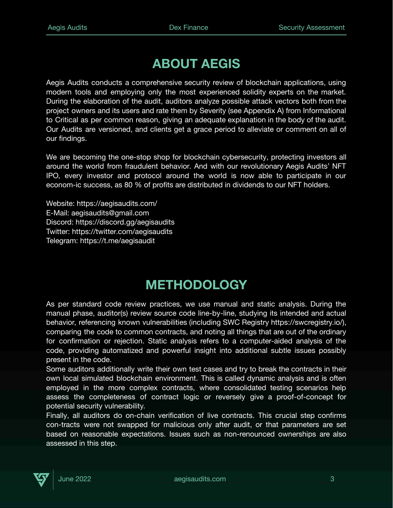#### **ABOUT AEGIS**

Aegis Audits conducts a comprehensive security review of blockchain applications, using modern tools and employing only the most experienced solidity experts on the market. During the elaboration of the audit, auditors analyze possible attack vectors both from the project owners and its users and rate them by Severity (see Appendix A) from Informational to Critical as per common reason, giving an adequate explanation in the body of the audit. Our Audits are versioned, and clients get a grace period to alleviate or comment on all of our findings.

We are becoming the one-stop shop for blockchain cybersecurity, protecting investors all around the world from fraudulent behavior. And with our revolutionary Aegis Audits' NFT IPO, every investor and protocol around the world is now able to participate in our econom-ic success, as 80 % of profits are distributed in dividends to our NFT holders.

Website: https://aegisaudits.com/ E-Mail: aegisaudits@gmail.com Discord: https://discord.gg/aegisaudits Twitter: https://twitter.com/aegisaudits Telegram: https://t.me/aegisaudit

#### **METHODOLOGY**

As per standard code review practices, we use manual and static analysis. During the manual phase, auditor(s) review source code line-by-line, studying its intended and actual behavior, referencing known vulnerabilities (including SWC Registry https://swcregistry.io/), comparing the code to common contracts, and noting all things that are out of the ordinary for confirmation or rejection. Static analysis refers to a computer-aided analysis of the code, providing automatized and powerful insight into additional subtle issues possibly present in the code.

Some auditors additionally write their own test cases and try to break the contracts in their own local simulated blockchain environment. This is called dynamic analysis and is often employed in the more complex contracts, where consolidated testing scenarios help assess the completeness of contract logic or reversely give a proof-of-concept for potential security vulnerability.

Finally, all auditors do on-chain verification of live contracts. This crucial step confirms con-tracts were not swapped for malicious only after audit, or that parameters are set based on reasonable expectations. Issues such as non-renounced ownerships are also assessed in this step.

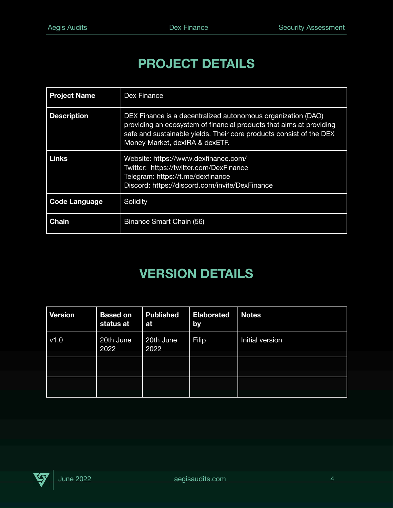#### **PROJECT DETAILS**

| <b>Project Name</b>  | Dex Finance                                                                                                                                                                                                                                  |
|----------------------|----------------------------------------------------------------------------------------------------------------------------------------------------------------------------------------------------------------------------------------------|
| <b>Description</b>   | DEX Finance is a decentralized autonomous organization (DAO)<br>providing an ecosystem of financial products that aims at providing<br>safe and sustainable yields. Their core products consist of the DEX<br>Money Market, dexIRA & dexETF. |
| <b>Links</b>         | Website: https://www.dexfinance.com/<br>Twitter: https://twitter.com/DexFinance<br>Telegram: https://t.me/dexfinance<br>Discord: https://discord.com/invite/DexFinance                                                                       |
| <b>Code Language</b> | Solidity                                                                                                                                                                                                                                     |
| <b>Chain</b>         | Binance Smart Chain (56)                                                                                                                                                                                                                     |

#### **VERSION DETAILS**

| <b>Version</b> | <b>Based on</b><br>status at | <b>Published</b><br>at | <b>Elaborated</b><br>by | <b>Notes</b>    |
|----------------|------------------------------|------------------------|-------------------------|-----------------|
| v1.0           | 20th June<br>2022            | 20th June<br>2022      | <b>Filip</b>            | Initial version |
|                |                              |                        |                         |                 |
|                |                              |                        |                         |                 |

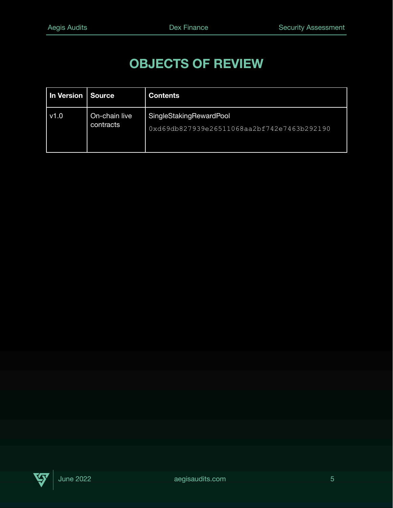#### **OBJECTS OF REVIEW**

| In Version Source |                            | <b>Contents</b>                                                       |
|-------------------|----------------------------|-----------------------------------------------------------------------|
| v1.0              | On-chain live<br>contracts | SingleStakingRewardPool<br>0xd69db827939e26511068aa2bf742e7463b292190 |

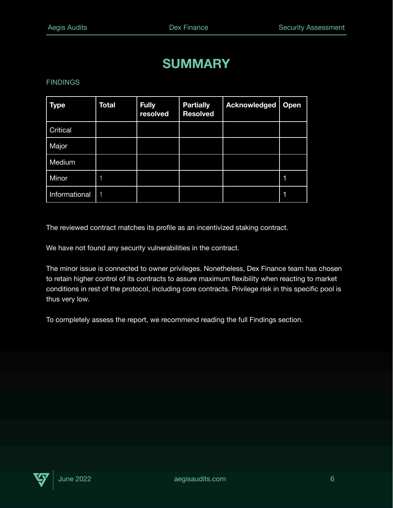#### **SUMMARY**

#### FINDINGS

| <b>Type</b>   | Total | <b>Fully</b><br>resolved | <b>Partially</b><br><b>Resolved</b> | <b>Acknowledged</b> | <b>Open</b> |
|---------------|-------|--------------------------|-------------------------------------|---------------------|-------------|
| Critical      |       |                          |                                     |                     |             |
| Major         |       |                          |                                     |                     |             |
| Medium        |       |                          |                                     |                     |             |
| Minor         |       |                          |                                     |                     | 1           |
| Informational |       |                          |                                     |                     | 1           |

The reviewed contract matches its profile as an incentivized staking contract.

We have not found any security vulnerabilities in the contract.

The minor issue is connected to owner privileges. Nonetheless, Dex Finance team has chosen to retain higher control of its contracts to assure maximum flexibility when reacting to market conditions in rest of the protocol, including core contracts. Privilege risk in this specific pool is thus very low.

To completely assess the report, we recommend reading the full Findings section.

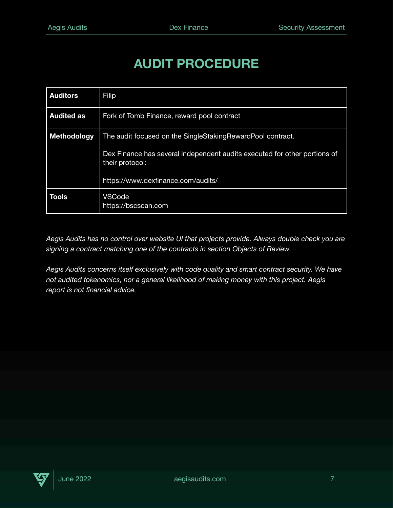#### **AUDIT PROCEDURE**

| <b>Auditors</b>    | Filip                                                                                        |  |  |
|--------------------|----------------------------------------------------------------------------------------------|--|--|
| <b>Audited as</b>  | Fork of Tomb Finance, reward pool contract                                                   |  |  |
| <b>Methodology</b> | The audit focused on the SingleStakingRewardPool contract.                                   |  |  |
|                    | Dex Finance has several independent audits executed for other portions of<br>their protocol: |  |  |
|                    | https://www.dexfinance.com/audits/                                                           |  |  |
| <b>Tools</b>       | VSCode<br>https://bscscan.com                                                                |  |  |

*Aegis Audits has no control over website UI that projects provide. Always double check you are signing a contract matching one of the contracts in section Objects of Review.*

*Aegis Audits concerns itself exclusively with code quality and smart contract security. We have not audited tokenomics, nor a general likelihood of making money with this project. Aegis report is not financial advice.*

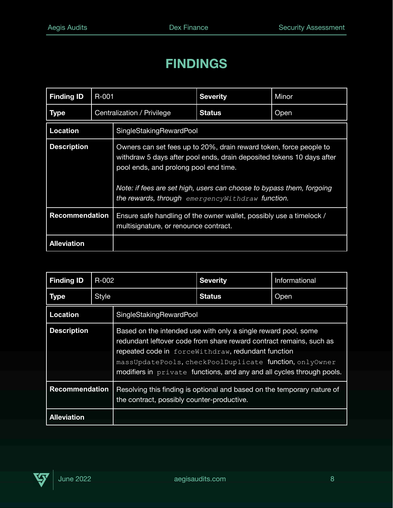#### **FINDINGS**

| <b>Finding ID</b>     | R-001                      |                         | <b>Severity</b>                                                                                                                                                                                                                                                                                                    | Minor |  |
|-----------------------|----------------------------|-------------------------|--------------------------------------------------------------------------------------------------------------------------------------------------------------------------------------------------------------------------------------------------------------------------------------------------------------------|-------|--|
| <b>Type</b>           | Centralization / Privilege |                         | <b>Status</b>                                                                                                                                                                                                                                                                                                      | Open  |  |
| <b>Location</b>       |                            | SingleStakingRewardPool |                                                                                                                                                                                                                                                                                                                    |       |  |
| <b>Description</b>    |                            |                         | Owners can set fees up to 20%, drain reward token, force people to<br>withdraw 5 days after pool ends, drain deposited tokens 10 days after<br>pool ends, and prolong pool end time.<br>Note: if fees are set high, users can choose to bypass them, forgoing<br>the rewards, through emergency Withdraw function. |       |  |
| <b>Recommendation</b> |                            |                         | Ensure safe handling of the owner wallet, possibly use a timelock /<br>multisignature, or renounce contract.                                                                                                                                                                                                       |       |  |
| <b>Alleviation</b>    |                            |                         |                                                                                                                                                                                                                                                                                                                    |       |  |

| <b>Finding ID</b>     | R-002        |                                                                                                                                                                                                                                                                                                                                   | <b>Severity</b> | Informational |
|-----------------------|--------------|-----------------------------------------------------------------------------------------------------------------------------------------------------------------------------------------------------------------------------------------------------------------------------------------------------------------------------------|-----------------|---------------|
| <b>Type</b>           | <b>Style</b> |                                                                                                                                                                                                                                                                                                                                   | <b>Status</b>   | Open          |
| <b>Location</b>       |              | SingleStakingRewardPool                                                                                                                                                                                                                                                                                                           |                 |               |
| <b>Description</b>    |              | Based on the intended use with only a single reward pool, some<br>redundant leftover code from share reward contract remains, such as<br>repeated code in forceWithdraw, redundant function<br>massUpdatePools, checkPoolDuplicate function, onlyOwner<br>modifiers in $private$ functions, and any and all cycles through pools. |                 |               |
| <b>Recommendation</b> |              | Resolving this finding is optional and based on the temporary nature of<br>the contract, possibly counter-productive.                                                                                                                                                                                                             |                 |               |
| <b>Alleviation</b>    |              |                                                                                                                                                                                                                                                                                                                                   |                 |               |

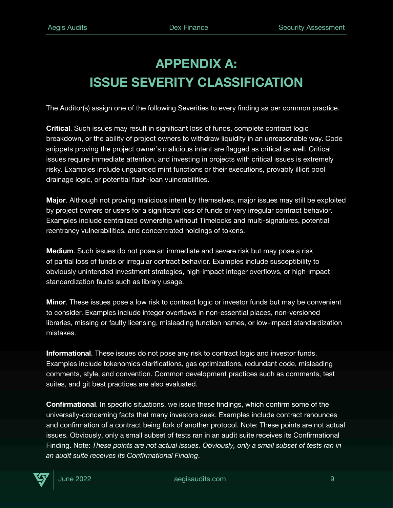### **APPENDIX A: ISSUE SEVERITY CLASSIFICATION**

The Auditor(s) assign one of the following Severities to every finding as per common practice.

**Critical**. Such issues may result in significant loss of funds, complete contract logic breakdown, or the ability of project owners to withdraw liquidity in an unreasonable way. Code snippets proving the project owner's malicious intent are flagged as critical as well. Critical issues require immediate attention, and investing in projects with critical issues is extremely risky. Examples include unguarded mint functions or their executions, provably illicit pool drainage logic, or potential flash-loan vulnerabilities.

**Major**. Although not proving malicious intent by themselves, major issues may still be exploited by project owners or users for a significant loss of funds or very irregular contract behavior. Examples include centralized ownership without Timelocks and multi-signatures, potential reentrancy vulnerabilities, and concentrated holdings of tokens.

**Medium**. Such issues do not pose an immediate and severe risk but may pose a risk of partial loss of funds or irregular contract behavior. Examples include susceptibility to obviously unintended investment strategies, high-impact integer overflows, or high-impact standardization faults such as library usage.

**Minor**. These issues pose a low risk to contract logic or investor funds but may be convenient to consider. Examples include integer overflows in non-essential places, non-versioned libraries, missing or faulty licensing, misleading function names, or low-impact standardization mistakes.

**Informational**. These issues do not pose any risk to contract logic and investor funds. Examples include tokenomics clarifications, gas optimizations, redundant code, misleading comments, style, and convention. Common development practices such as comments, test suites, and git best practices are also evaluated.

**Confirmational**. In specific situations, we issue these findings, which confirm some of the universally-concerning facts that many investors seek. Examples include contract renounces and confirmation of a contract being fork of another protocol. Note: These points are not actual issues. Obviously, only a small subset of tests ran in an audit suite receives its Confirmational Finding. Note: *These points are not actual issues. Obviously, only a small subset of tests ran in an audit suite receives its Confirmational Finding*.